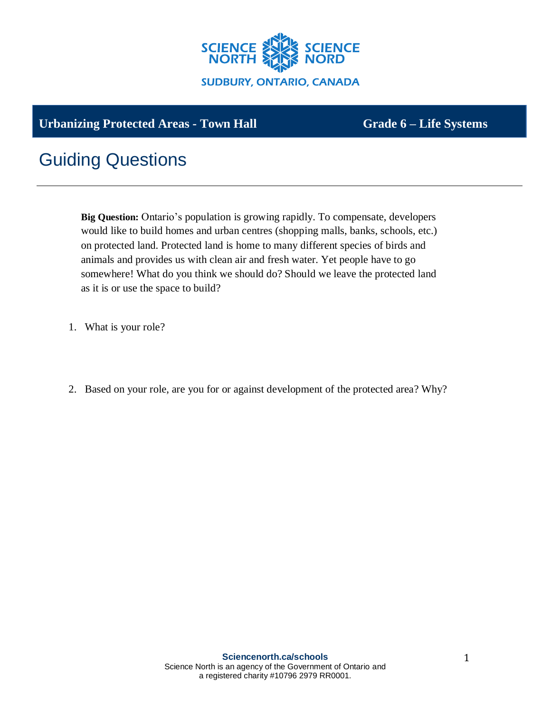

## Urbanizing Protected Areas - Town Hall **Grade 6 – Life Systems**

## Guiding Questions

**Big Question:** Ontario's population is growing rapidly. To compensate, developers would like to build homes and urban centres (shopping malls, banks, schools, etc.) on protected land. Protected land is home to many different species of birds and animals and provides us with clean air and fresh water. Yet people have to go somewhere! What do you think we should do? Should we leave the protected land as it is or use the space to build?

- 1. What is your role?
- 2. Based on your role, are you for or against development of the protected area? Why?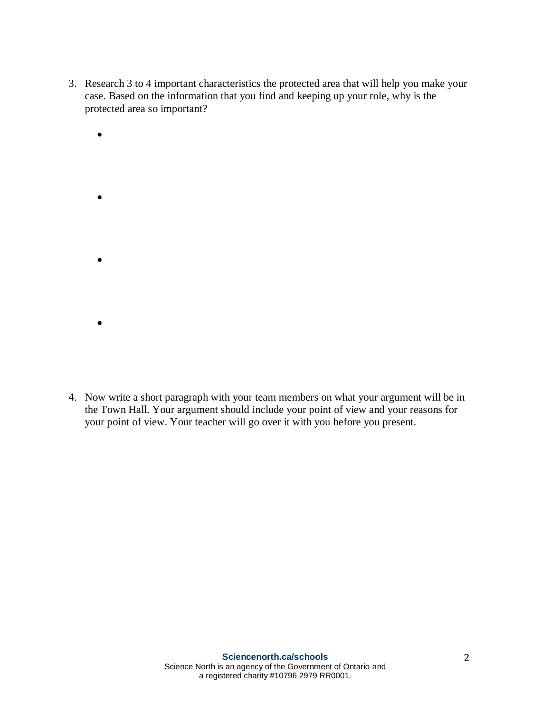- 3. Research 3 to 4 important characteristics the protected area that will help you make your case. Based on the information that you find and keeping up your role, why is the protected area so important?
	- • •

•

4. Now write a short paragraph with your team members on what your argument will be in the Town Hall. Your argument should include your point of view and your reasons for your point of view. Your teacher will go over it with you before you present.